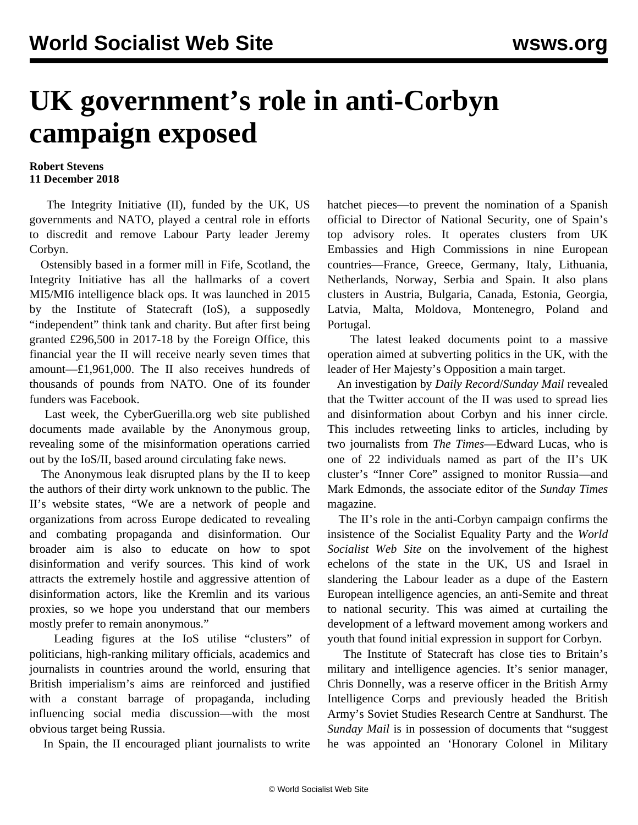## **UK government's role in anti-Corbyn campaign exposed**

## **Robert Stevens 11 December 2018**

 The Integrity Initiative (II), funded by the UK, US governments and NATO, played a central role in efforts to discredit and remove Labour Party leader Jeremy Corbyn.

 Ostensibly based in a former mill in Fife, Scotland, the Integrity Initiative has all the hallmarks of a covert MI5/MI6 intelligence black ops. It was launched in 2015 by the Institute of Statecraft (IoS), a supposedly "independent" think tank and charity. But after first being granted £296,500 in 2017-18 by the Foreign Office, this financial year the II will receive nearly seven times that amount—£1,961,000. The II also receives hundreds of thousands of pounds from NATO. One of its founder funders was Facebook.

 Last week, the CyberGuerilla.org web site published documents made available by the Anonymous group, revealing some of the misinformation operations carried out by the IoS/II, based around circulating fake news.

 The Anonymous leak disrupted plans by the II to keep the authors of their dirty work unknown to the public. The II's website states, "We are a network of people and organizations from across Europe dedicated to revealing and combating propaganda and disinformation. Our broader aim is also to educate on how to spot disinformation and verify sources. This kind of work attracts the extremely hostile and aggressive attention of disinformation actors, like the Kremlin and its various proxies, so we hope you understand that our members mostly prefer to remain anonymous."

 Leading figures at the IoS utilise "clusters" of politicians, high-ranking military officials, academics and journalists in countries around the world, ensuring that British imperialism's aims are reinforced and justified with a constant barrage of propaganda, including influencing social media discussion—with the most obvious target being Russia.

In Spain, the II encouraged pliant journalists to write

hatchet pieces—to [prevent the nomination](/en/articles/2018/12/06/spai-d06.html) of a Spanish official to Director of National Security, one of Spain's top advisory roles. It operates clusters from UK Embassies and High Commissions in nine European countries—France, Greece, Germany, Italy, Lithuania, Netherlands, Norway, Serbia and Spain. It also plans clusters in Austria, Bulgaria, Canada, Estonia, Georgia, Latvia, Malta, Moldova, Montenegro, Poland and Portugal.

 The latest leaked documents point to a massive operation aimed at subverting politics in the UK, with the leader of Her Majesty's Opposition a main target.

 An investigation by *Daily Record*/*Sunday Mail* revealed that the Twitter account of the II was used to spread lies and disinformation about Corbyn and his inner circle. This includes retweeting links to articles, including by two journalists from *The Times*—Edward Lucas, who is one of 22 individuals named as part of the II's UK cluster's "Inner Core" assigned to monitor Russia—and Mark Edmonds, the associate editor of the *Sunday Times* magazine.

 The II's role in the anti-Corbyn campaign confirms the insistence of the Socialist Equality Party and the *World Socialist Web Site* on the involvement of the highest echelons of the state in the UK, US and Israel in slandering the Labour leader as a dupe of the Eastern European intelligence agencies, an anti-Semite and threat to national security. This was aimed at curtailing the development of a leftward movement among workers and youth that found initial expression in support for Corbyn.

 The Institute of Statecraft has close ties to Britain's military and intelligence agencies. It's senior manager, Chris Donnelly, was a reserve officer in the British Army Intelligence Corps and previously headed the British Army's Soviet Studies Research Centre at Sandhurst. The *Sunday Mail* is in possession of documents that "suggest he was appointed an 'Honorary Colonel in Military